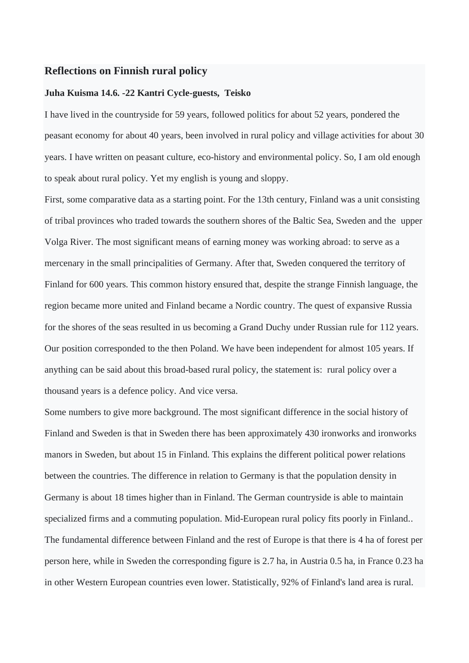## **Reflections on Finnish rural policy**

## **Juha Kuisma 14.6. -22 Kantri Cycle-guests, Teisko**

I have lived in the countryside for 59 years, followed politics for about 52 years, pondered the peasant economy for about 40 years, been involved in rural policy and village activities for about 30 years. I have written on peasant culture, eco-history and environmental policy. So, I am old enough to speak about rural policy. Yet my english is young and sloppy.

First, some comparative data as a starting point. For the 13th century, Finland was a unit consisting of tribal provinces who traded towards the southern shores of the Baltic Sea, Sweden and the upper Volga River. The most significant means of earning money was working abroad: to serve as a mercenary in the small principalities of Germany. After that, Sweden conquered the territory of Finland for 600 years. This common history ensured that, despite the strange Finnish language, the region became more united and Finland became a Nordic country. The quest of expansive Russia for the shores of the seas resulted in us becoming a Grand Duchy under Russian rule for 112 years. Our position corresponded to the then Poland. We have been independent for almost 105 years. If anything can be said about this broad-based rural policy, the statement is: rural policy over a thousand years is a defence policy. And vice versa.

Some numbers to give more background. The most significant difference in the social history of Finland and Sweden is that in Sweden there has been approximately 430 ironworks and ironworks manors in Sweden, but about 15 in Finland. This explains the different political power relations between the countries. The difference in relation to Germany is that the population density in Germany is about 18 times higher than in Finland. The German countryside is able to maintain specialized firms and a commuting population. Mid-European rural policy fits poorly in Finland.. The fundamental difference between Finland and the rest of Europe is that there is 4 ha of forest per person here, while in Sweden the corresponding figure is 2.7 ha, in Austria 0.5 ha, in France 0.23 ha in other Western European countries even lower. Statistically, 92% of Finland's land area is rural.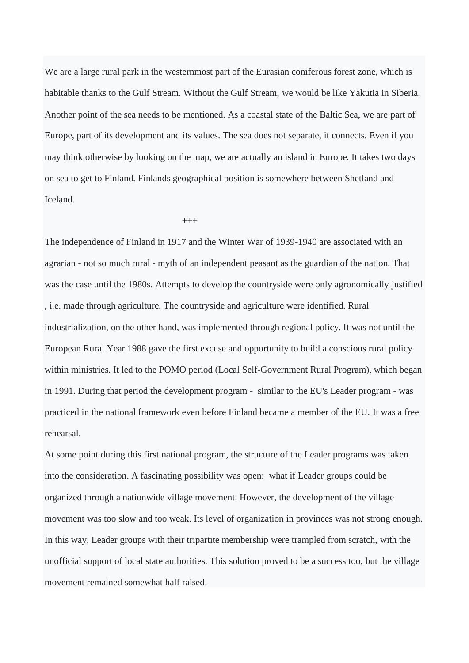We are a large rural park in the westernmost part of the Eurasian coniferous forest zone, which is habitable thanks to the Gulf Stream. Without the Gulf Stream, we would be like Yakutia in Siberia. Another point of the sea needs to be mentioned. As a coastal state of the Baltic Sea, we are part of Europe, part of its development and its values. The sea does not separate, it connects. Even if you may think otherwise by looking on the map, we are actually an island in Europe. It takes two days on sea to get to Finland. Finlands geographical position is somewhere between Shetland and Iceland.

+++

The independence of Finland in 1917 and the Winter War of 1939-1940 are associated with an agrarian - not so much rural - myth of an independent peasant as the guardian of the nation. That was the case until the 1980s. Attempts to develop the countryside were only agronomically justified , i.e. made through agriculture. The countryside and agriculture were identified. Rural industrialization, on the other hand, was implemented through regional policy. It was not until the European Rural Year 1988 gave the first excuse and opportunity to build a conscious rural policy within ministries. It led to the POMO period (Local Self-Government Rural Program), which began in 1991. During that period the development program - similar to the EU's Leader program - was practiced in the national framework even before Finland became a member of the EU. It was a free rehearsal.

At some point during this first national program, the structure of the Leader programs was taken into the consideration. A fascinating possibility was open: what if Leader groups could be organized through a nationwide village movement. However, the development of the village movement was too slow and too weak. Its level of organization in provinces was not strong enough. In this way, Leader groups with their tripartite membership were trampled from scratch, with the unofficial support of local state authorities. This solution proved to be a success too, but the village movement remained somewhat half raised.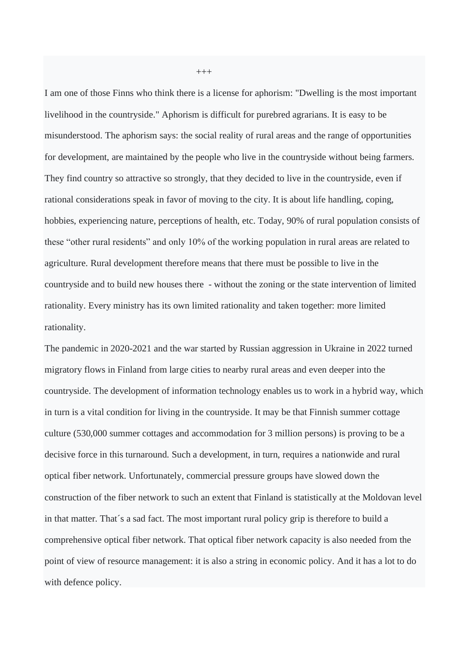I am one of those Finns who think there is a license for aphorism: "Dwelling is the most important livelihood in the countryside." Aphorism is difficult for purebred agrarians. It is easy to be misunderstood. The aphorism says: the social reality of rural areas and the range of opportunities for development, are maintained by the people who live in the countryside without being farmers. They find country so attractive so strongly, that they decided to live in the countryside, even if rational considerations speak in favor of moving to the city. It is about life handling, coping, hobbies, experiencing nature, perceptions of health, etc. Today, 90% of rural population consists of these "other rural residents" and only 10% of the working population in rural areas are related to agriculture. Rural development therefore means that there must be possible to live in the countryside and to build new houses there - without the zoning or the state intervention of limited rationality. Every ministry has its own limited rationality and taken together: more limited rationality.

The pandemic in 2020-2021 and the war started by Russian aggression in Ukraine in 2022 turned migratory flows in Finland from large cities to nearby rural areas and even deeper into the countryside. The development of information technology enables us to work in a hybrid way, which in turn is a vital condition for living in the countryside. It may be that Finnish summer cottage culture (530,000 summer cottages and accommodation for 3 million persons) is proving to be a decisive force in this turnaround. Such a development, in turn, requires a nationwide and rural optical fiber network. Unfortunately, commercial pressure groups have slowed down the construction of the fiber network to such an extent that Finland is statistically at the Moldovan level in that matter. That´s a sad fact. The most important rural policy grip is therefore to build a comprehensive optical fiber network. That optical fiber network capacity is also needed from the point of view of resource management: it is also a string in economic policy. And it has a lot to do with defence policy.

+++